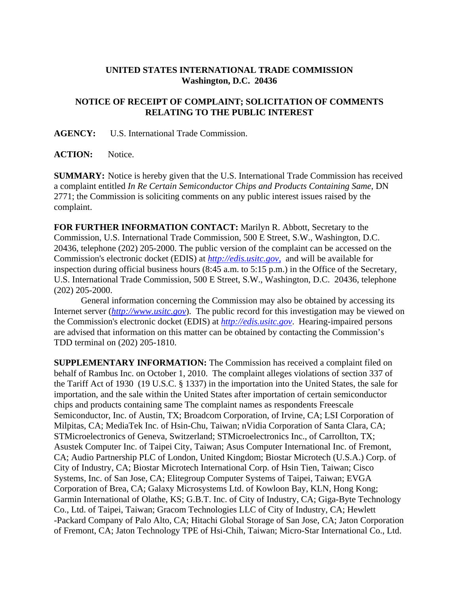## **UNITED STATES INTERNATIONAL TRADE COMMISSION Washington, D.C. 20436**

## **NOTICE OF RECEIPT OF COMPLAINT; SOLICITATION OF COMMENTS RELATING TO THE PUBLIC INTEREST**

**AGENCY:** U.S. International Trade Commission.

**ACTION:** Notice.

**SUMMARY:** Notice is hereby given that the U.S. International Trade Commission has received a complaint entitled *In Re Certain Semiconductor Chips and Products Containing Same*, DN 2771; the Commission is soliciting comments on any public interest issues raised by the complaint.

**FOR FURTHER INFORMATION CONTACT:** Marilyn R. Abbott, Secretary to the Commission, U.S. International Trade Commission, 500 E Street, S.W., Washington, D.C. 20436, telephone (202) 205-2000. The public version of the complaint can be accessed on the Commission's electronic docket (EDIS) at *http://edis.usitc.gov*, and will be available for inspection during official business hours (8:45 a.m. to 5:15 p.m.) in the Office of the Secretary, U.S. International Trade Commission, 500 E Street, S.W., Washington, D.C. 20436, telephone (202) 205-2000.

General information concerning the Commission may also be obtained by accessing its Internet server (*http://www.usitc.gov*). The public record for this investigation may be viewed on the Commission's electronic docket (EDIS) at *http://edis.usitc.gov*. Hearing-impaired persons are advised that information on this matter can be obtained by contacting the Commission's TDD terminal on (202) 205-1810.

**SUPPLEMENTARY INFORMATION:** The Commission has received a complaint filed on behalf of Rambus Inc. on October 1, 2010. The complaint alleges violations of section 337 of the Tariff Act of 1930 (19 U.S.C. § 1337) in the importation into the United States, the sale for importation, and the sale within the United States after importation of certain semiconductor chips and products containing same The complaint names as respondents Freescale Semiconductor, Inc. of Austin, TX; Broadcom Corporation, of Irvine, CA; LSI Corporation of Milpitas, CA; MediaTek Inc. of Hsin-Chu, Taiwan; nVidia Corporation of Santa Clara, CA; STMicroelectronics of Geneva, Switzerland; STMicroelectronics Inc., of Carrollton, TX; Asustek Computer Inc. of Taipei City, Taiwan; Asus Computer International Inc. of Fremont, CA; Audio Partnership PLC of London, United Kingdom; Biostar Microtech (U.S.A.) Corp. of City of Industry, CA; Biostar Microtech International Corp. of Hsin Tien, Taiwan; Cisco Systems, Inc. of San Jose, CA; Elitegroup Computer Systems of Taipei, Taiwan; EVGA Corporation of Brea, CA; Galaxy Microsystems Ltd. of Kowloon Bay, KLN, Hong Kong; Garmin International of Olathe, KS; G.B.T. Inc. of City of Industry, CA; Giga-Byte Technology Co., Ltd. of Taipei, Taiwan; Gracom Technologies LLC of City of Industry, CA; Hewlett -Packard Company of Palo Alto, CA; Hitachi Global Storage of San Jose, CA; Jaton Corporation of Fremont, CA; Jaton Technology TPE of Hsi-Chih, Taiwan; Micro-Star International Co., Ltd.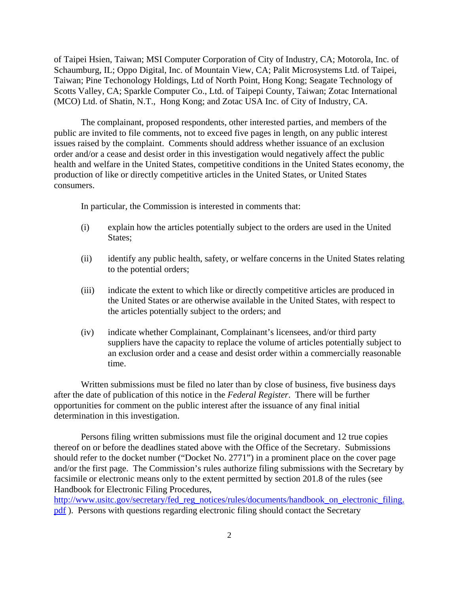of Taipei Hsien, Taiwan; MSI Computer Corporation of City of Industry, CA; Motorola, Inc. of Schaumburg, IL; Oppo Digital, Inc. of Mountain View, CA; Palit Microsystems Ltd. of Taipei, Taiwan; Pine Techonology Holdings, Ltd of North Point, Hong Kong; Seagate Technology of Scotts Valley, CA; Sparkle Computer Co., Ltd. of Taipepi County, Taiwan; Zotac International (MCO) Ltd. of Shatin, N.T., Hong Kong; and Zotac USA Inc. of City of Industry, CA.

The complainant, proposed respondents, other interested parties, and members of the public are invited to file comments, not to exceed five pages in length, on any public interest issues raised by the complaint. Comments should address whether issuance of an exclusion order and/or a cease and desist order in this investigation would negatively affect the public health and welfare in the United States, competitive conditions in the United States economy, the production of like or directly competitive articles in the United States, or United States consumers.

In particular, the Commission is interested in comments that:

- (i) explain how the articles potentially subject to the orders are used in the United States;
- (ii) identify any public health, safety, or welfare concerns in the United States relating to the potential orders;
- (iii) indicate the extent to which like or directly competitive articles are produced in the United States or are otherwise available in the United States, with respect to the articles potentially subject to the orders; and
- (iv) indicate whether Complainant, Complainant's licensees, and/or third party suppliers have the capacity to replace the volume of articles potentially subject to an exclusion order and a cease and desist order within a commercially reasonable time.

Written submissions must be filed no later than by close of business, five business days after the date of publication of this notice in the *Federal Register*. There will be further opportunities for comment on the public interest after the issuance of any final initial determination in this investigation.

Persons filing written submissions must file the original document and 12 true copies thereof on or before the deadlines stated above with the Office of the Secretary. Submissions should refer to the docket number ("Docket No. 2771") in a prominent place on the cover page and/or the first page. The Commission's rules authorize filing submissions with the Secretary by facsimile or electronic means only to the extent permitted by section 201.8 of the rules (see Handbook for Electronic Filing Procedures,

http://www.usitc.gov/secretary/fed\_reg\_notices/rules/documents/handbook\_on\_electronic\_filing. pdf ). Persons with questions regarding electronic filing should contact the Secretary